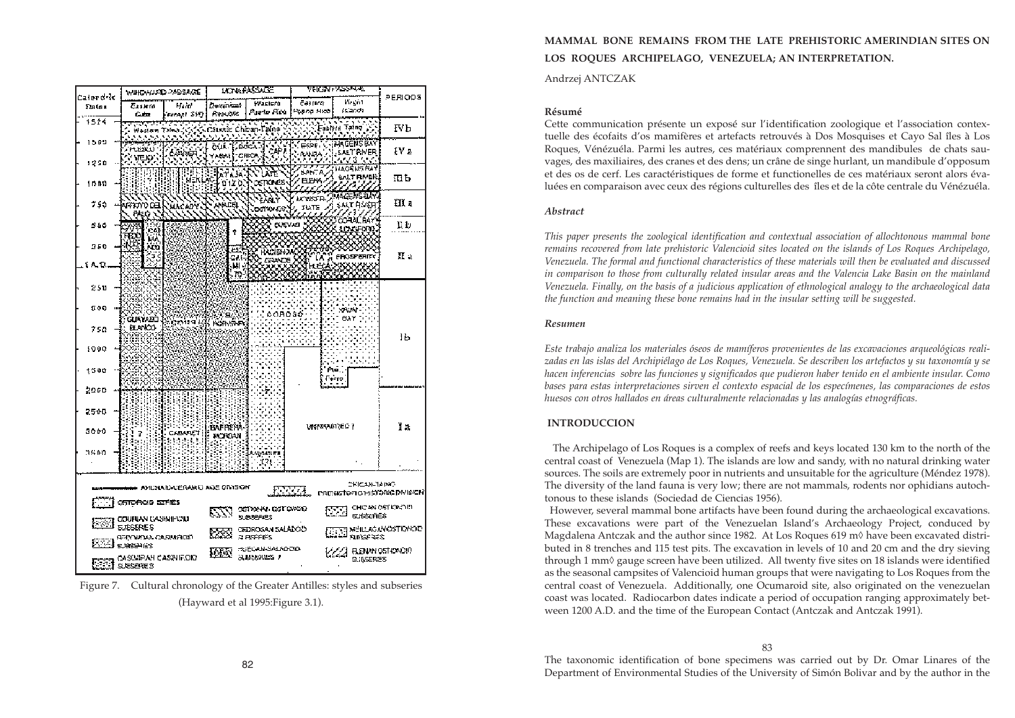# **MAMMAL BONE REMAINS FROM THE LATE PREHISTORIC AMERINDIAN SITES ON LOS ROQUES ARCHIPELAGO, VENEZUELA; AN INTERPRETATION.**

Andrzej ANTCZAK

#### **Résumé**

Cette communication présente un exposé sur l'identification zoologique et l'association contextuelle des écofaits d'os mamifères et artefacts retrouvés à Dos Mosquises et Cayo Sal îles à Los Roques, Vénézuéla. Parmi les autres, ces matériaux comprennent des mandibules de chats sauvages, des maxiliaires, des cranes et des dens; un crâne de singe hurlant, un mandibule d'opposum et des os de cerf. Les caractéristiques de forme et functionelles de ces matériaux seront alors évaluées en comparaison avec ceux des régions culturelles des îles et de la côte centrale du Vénézuéla.

### *Abstract*

*This paper presents the zoological identification and contextual association of allochtonous mammal bone remains recovered from late prehistoric Valencioid sites located on the islands of Los Roques Archipelago, Venezuela. The formal and functional characteristics of these materials will then be evaluated and discussed in comparison to those from culturally related insular areas and the Valencia Lake Basin on the mainland Venezuela. Finally, on the basis of a judicious application of ethnological analogy to the archaeological data the function and meaning these bone remains had in the insular setting will be suggested.*

#### *Resumen*

*Este trabajo analiza los materiales óseos de mamíferos provenientes de las excavaciones arqueológicas realizadas en las islas del Archipiélago de Los Roques, Venezuela. Se describen los artefactos y su taxonomía y se hacen inferencias sobre las funciones y significados que pudieron haber tenido en el ambiente insular. Como bases para estas interpretaciones sirven el contexto espacial de los especímenes, las comparaciones de estos huesos con otros hallados en áreas culturalmente relacionadas y las analogías etnográficas.*

## **INTRODUCCION**

The Archipelago of Los Roques is a complex of reefs and keys located 130 km to the north of the central coast of Venezuela (Map 1). The islands are low and sandy, with no natural drinking water sources. The soils are extremely poor in nutrients and unsuitable for the agriculture (Méndez 1978). The diversity of the land fauna is very low; there are not mammals, rodents nor ophidians autochtonous to these islands (Sociedad de Ciencias 1956). However, several mammal bone artifacts have been found during the archaeological excavations. These excavations were part of the Venezuelan Island's Archaeology Project, conduced by Magdalena Antczak and the author since 1982. At Los Roques 619 m◊ have been excavated distributed in 8 trenches and 115 test pits. The excavation in levels of 10 and 20 cm and the dry sieving through 1 mm◊ gauge screen have been utilized. All twenty five sites on 18 islands were identified as the seasonal campsites of Valencioid human groups that were navigating to Los Roques from the central coast of Venezuela. Additionally, one Ocumaroid site, also originated on the venezuelan coast was located. Radiocarbon dates indicate a period of occupation ranging approximately between 1200 A.D. and the time of the European Contact (Antczak and Antczak 1991).

## 83

The taxonomic identification of bone specimens was carried out by Dr. Omar Linares of the Department of Environmental Studies of the University of Simón Bolivar and by the author in the



Figure 7. Cultural chronology of the Greater Antilles: styles and subseries (Hayward et al 1995:Figure 3.1).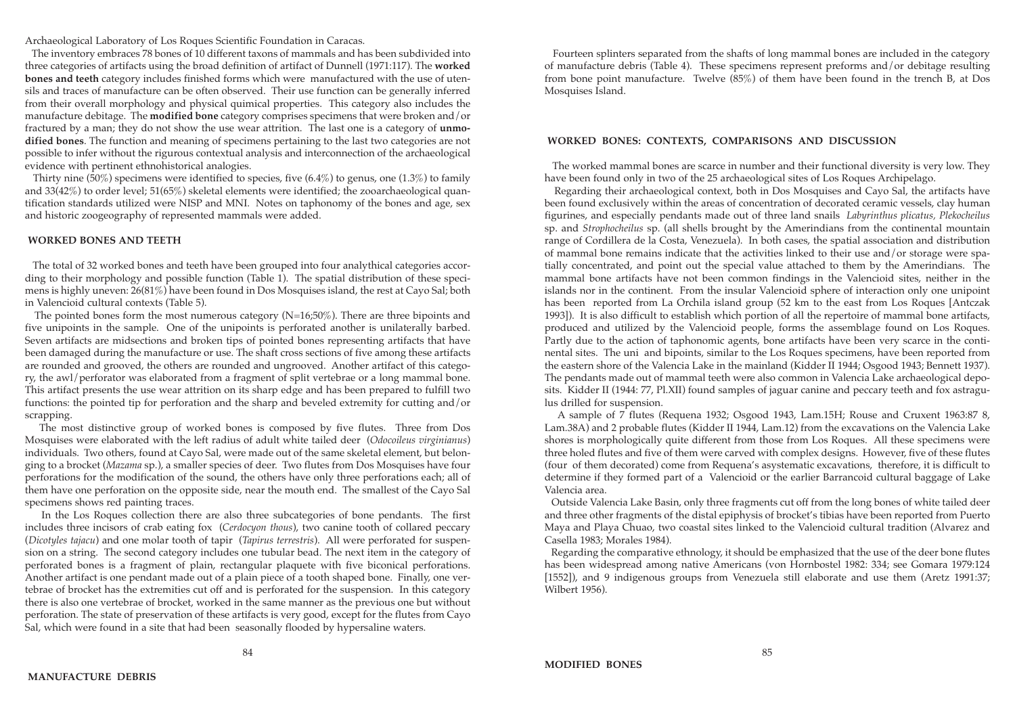Fourteen splinters separated from the shafts of long mammal bones are included in the category of manufacture debris (Table 4). These specimens represent preforms and/or debitage resulting from bone point manufacture. Twelve (85%) of them have been found in the trench B, at Dos Mosquises Island.

### **WORKED BONES: CONTEXTS, COMPARISONS AND DISCUSSION**

The worked mammal bones are scarce in number and their functional diversity is very low. They have been found only in two of the 25 archaeological sites of Los Roques Archipelago.

Regarding their archaeological context, both in Dos Mosquises and Cayo Sal, the artifacts have been found exclusively within the areas of concentration of decorated ceramic vessels, clay human figurines, and especially pendants made out of three land snails *Labyrinthus plicatus, Plekocheilus* sp. and *Strophocheilus* sp. (all shells brought by the Amerindians from the continental mountain range of Cordillera de la Costa, Venezuela). In both cases, the spatial association and distribution of mammal bone remains indicate that the activities linked to their use and/or storage were spatially concentrated, and point out the special value attached to them by the Amerindians. The mammal bone artifacts have not been common findings in the Valencioid sites, neither in the islands nor in the continent. From the insular Valencioid sphere of interaction only one unipoint has been reported from La Orchila island group (52 km to the east from Los Roques [Antczak 1993]). It is also difficult to establish which portion of all the repertoire of mammal bone artifacts, produced and utilized by the Valencioid people, forms the assemblage found on Los Roques. Partly due to the action of taphonomic agents, bone artifacts have been very scarce in the continental sites. The uni and bipoints, similar to the Los Roques specimens, have been reported from the eastern shore of the Valencia Lake in the mainland (Kidder II 1944; Osgood 1943; Bennett 1937). The pendants made out of mammal teeth were also common in Valencia Lake archaeological deposits. Kidder II (1944: 77, Pl.XII) found samples of jaguar canine and peccary teeth and fox astragulus drilled for suspension.

Thirty nine (50%) specimens were identified to species, five (6.4%) to genus, one (1.3%) to family and 33(42%) to order level; 51(65%) skeletal elements were identified; the zooarchaeological quantification standards utilized were NISP and MNI. Notes on taphonomy of the bones and age, sex and historic zoogeography of represented mammals were added.

> A sample of 7 flutes (Requena 1932; Osgood 1943, Lam.15H; Rouse and Cruxent 1963:87 8, Lam.38A) and 2 probable flutes (Kidder II 1944, Lam.12) from the excavations on the Valencia Lake shores is morphologically quite different from those from Los Roques. All these specimens were three holed flutes and five of them were carved with complex designs. However, five of these flutes (four of them decorated) come from Requena's asystematic excavations, therefore, it is difficult to determine if they formed part of a Valencioid or the earlier Barrancoid cultural baggage of Lake Valencia area.

> Outside Valencia Lake Basin, only three fragments cut off from the long bones of white tailed deer and three other fragments of the distal epiphysis of brocket's tibias have been reported from Puerto Maya and Playa Chuao, two coastal sites linked to the Valencioid cultural tradition (Alvarez and Casella 1983; Morales 1984).

> Regarding the comparative ethnology, it should be emphasized that the use of the deer bone flutes has been widespread among native Americans (von Hornbostel 1982: 334; see Gomara 1979:124 [1552]), and 9 indigenous groups from Venezuela still elaborate and use them (Aretz 1991:37; Wilbert 1956).

Archaeological Laboratory of Los Roques Scientific Foundation in Caracas.

The inventory embraces 78 bones of 10 different taxons of mammals and has been subdivided into three categories of artifacts using the broad definition of artifact of Dunnell (1971:117). The **worked bones and teeth** category includes finished forms which were manufactured with the use of utensils and traces of manufacture can be often observed. Their use function can be generally inferred from their overall morphology and physical quimical properties. This category also includes the manufacture debitage. The **modified bone** category comprises specimens that were broken and/or fractured by a man; they do not show the use wear attrition. The last one is a category of **unmodified bones**. The function and meaning of specimens pertaining to the last two categories are not possible to infer without the rigurous contextual analysis and interconnection of the archaeological evidence with pertinent ethnohistorical analogies.

#### **WORKED BONES AND TEETH**

The total of 32 worked bones and teeth have been grouped into four analythical categories according to their morphology and possible function (Table 1). The spatial distribution of these specimens is highly uneven: 26(81%) have been found in Dos Mosquises island, the rest at Cayo Sal; both in Valencioid cultural contexts (Table 5).

The pointed bones form the most numerous category (N=16;50%). There are three bipoints and five unipoints in the sample. One of the unipoints is perforated another is unilaterally barbed. Seven artifacts are midsections and broken tips of pointed bones representing artifacts that have been damaged during the manufacture or use. The shaft cross sections of five among these artifacts are rounded and grooved, the others are rounded and ungrooved. Another artifact of this category, the awl/perforator was elaborated from a fragment of split vertebrae or a long mammal bone. This artifact presents the use wear attrition on its sharp edge and has been prepared to fulfill two functions: the pointed tip for perforation and the sharp and beveled extremity for cutting and/or scrapping.

The most distinctive group of worked bones is composed by five flutes. Three from Dos Mosquises were elaborated with the left radius of adult white tailed deer (*Odocoileus virginianus*) individuals. Two others, found at Cayo Sal, were made out of the same skeletal element, but belonging to a brocket (*Mazama* sp.), a smaller species of deer. Two flutes from Dos Mosquises have four perforations for the modification of the sound, the others have only three perforations each; all of them have one perforation on the opposite side, near the mouth end. The smallest of the Cayo Sal specimens shows red painting traces.

In the Los Roques collection there are also three subcategories of bone pendants. The first includes three incisors of crab eating fox (*Cerdocyon thous*), two canine tooth of collared peccary (*Dicotyles tajacu*) and one molar tooth of tapir (*Tapirus terrestris*). All were perforated for suspension on a string. The second category includes one tubular bead. The next item in the category of perforated bones is a fragment of plain, rectangular plaquete with five biconical perforations. Another artifact is one pendant made out of a plain piece of a tooth shaped bone. Finally, one vertebrae of brocket has the extremities cut off and is perforated for the suspension. In this category there is also one vertebrae of brocket, worked in the same manner as the previous one but without perforation. The state of preservation of these artifacts is very good, except for the flutes from Cayo Sal, which were found in a site that had been seasonally flooded by hypersaline waters.

84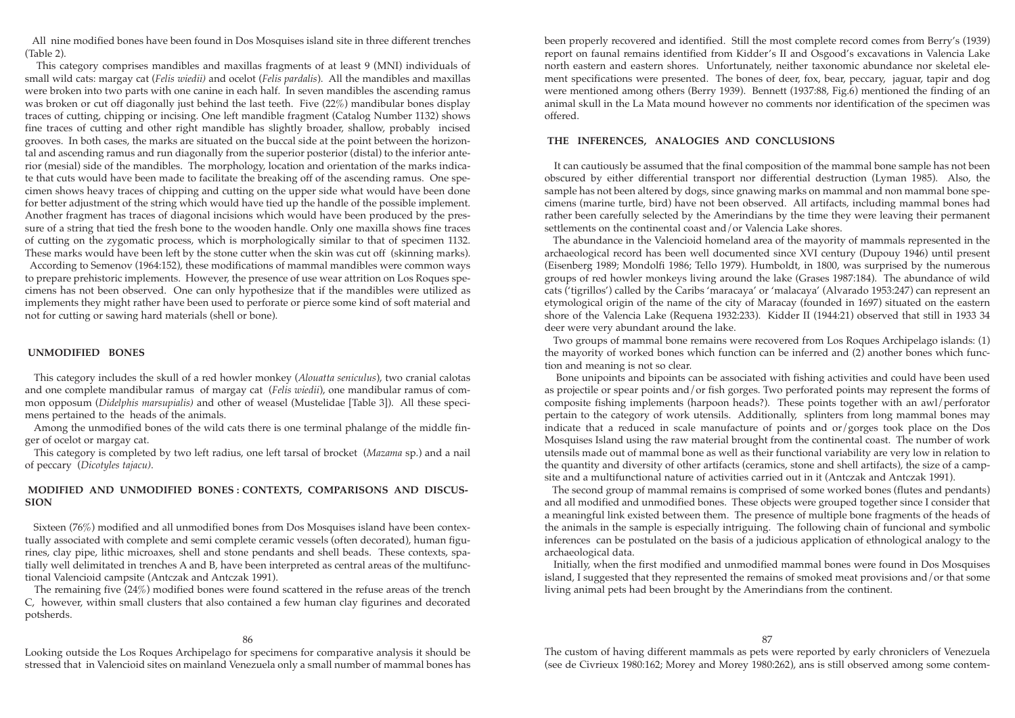been properly recovered and identified. Still the most complete record comes from Berry's (1939) report on faunal remains identified from Kidder's II and Osgood's excavations in Valencia Lake north eastern and eastern shores. Unfortunately, neither taxonomic abundance nor skeletal element specifications were presented. The bones of deer, fox, bear, peccary, jaguar, tapir and dog were mentioned among others (Berry 1939). Bennett (1937:88, Fig.6) mentioned the finding of an animal skull in the La Mata mound however no comments nor identification of the specimen was offered.

## **THE INFERENCES, ANALOGIES AND CONCLUSIONS**

It can cautiously be assumed that the final composition of the mammal bone sample has not been obscured by either differential transport nor differential destruction (Lyman 1985). Also, the sample has not been altered by dogs, since gnawing marks on mammal and non mammal bone specimens (marine turtle, bird) have not been observed. All artifacts, including mammal bones had rather been carefully selected by the Amerindians by the time they were leaving their permanent settlements on the continental coast and/or Valencia Lake shores.

The abundance in the Valencioid homeland area of the mayority of mammals represented in the archaeological record has been well documented since XVI century (Dupouy 1946) until present (Eisenberg 1989; Mondolfi 1986; Tello 1979). Humboldt, in 1800, was surprised by the numerous groups of red howler monkeys living around the lake (Grases 1987:184). The abundance of wild cats ('tigrillos') called by the Caribs 'maracaya' or 'malacaya' (Alvarado 1953:247) can represent an etymological origin of the name of the city of Maracay (founded in 1697) situated on the eastern shore of the Valencia Lake (Requena 1932:233). Kidder II (1944:21) observed that still in 1933 34 deer were very abundant around the lake.

Two groups of mammal bone remains were recovered from Los Roques Archipelago islands: (1) the mayority of worked bones which function can be inferred and (2) another bones which function and meaning is not so clear.

Bone unipoints and bipoints can be associated with fishing activities and could have been used as projectile or spear points and/or fish gorges. Two perforated points may represent the forms of composite fishing implements (harpoon heads?). These points together with an awl/perforator pertain to the category of work utensils. Additionally, splinters from long mammal bones may indicate that a reduced in scale manufacture of points and or/gorges took place on the Dos Mosquises Island using the raw material brought from the continental coast. The number of work utensils made out of mammal bone as well as their functional variability are very low in relation to the quantity and diversity of other artifacts (ceramics, stone and shell artifacts), the size of a campsite and a multifunctional nature of activities carried out in it (Antczak and Antczak 1991).

The second group of mammal remains is comprised of some worked bones (flutes and pendants) and all modified and unmodified bones. These objects were grouped together since I consider that a meaningful link existed between them. The presence of multiple bone fragments of the heads of the animals in the sample is especially intriguing. The following chain of funcional and symbolic inferences can be postulated on the basis of a judicious application of ethnological analogy to the archaeological data.

Initially, when the first modified and unmodified mammal bones were found in Dos Mosquises island, I suggested that they represented the remains of smoked meat provisions and/or that some living animal pets had been brought by the Amerindians from the continent.

#### 87

All nine modified bones have been found in Dos Mosquises island site in three different trenches (Table 2).

This category comprises mandibles and maxillas fragments of at least 9 (MNI) individuals of small wild cats: margay cat (*Felis wiedii)* and ocelot (*Felis pardalis*). All the mandibles and maxillas were broken into two parts with one canine in each half. In seven mandibles the ascending ramus was broken or cut off diagonally just behind the last teeth. Five (22%) mandibular bones display traces of cutting, chipping or incising. One left mandible fragment (Catalog Number 1132) shows fine traces of cutting and other right mandible has slightly broader, shallow, probably incised grooves. In both cases, the marks are situated on the buccal side at the point between the horizontal and ascending ramus and run diagonally from the superior posterior (distal) to the inferior anterior (mesial) side of the mandibles. The morphology, location and orientation of the marks indicate that cuts would have been made to facilitate the breaking off of the ascending ramus. One specimen shows heavy traces of chipping and cutting on the upper side what would have been done for better adjustment of the string which would have tied up the handle of the possible implement. Another fragment has traces of diagonal incisions which would have been produced by the pressure of a string that tied the fresh bone to the wooden handle. Only one maxilla shows fine traces of cutting on the zygomatic process, which is morphologically similar to that of specimen 1132. These marks would have been left by the stone cutter when the skin was cut off (skinning marks). According to Semenov (1964:152), these modifications of mammal mandibles were common ways

to prepare prehistoric implements. However, the presence of use wear attrition on Los Roques specimens has not been observed. One can only hypothesize that if the mandibles were utilized as implements they might rather have been used to perforate or pierce some kind of soft material and not for cutting or sawing hard materials (shell or bone).

### **UNMODIFIED BONES**

This category includes the skull of a red howler monkey (*Alouatta seniculus*), two cranial calotas and one complete mandibular ramus of margay cat (*Felis wiedii*), one mandibular ramus of common opposum (*Didelphis marsupialis)* and other of weasel (Mustelidae [Table 3]). All these specimens pertained to the heads of the animals.

Among the unmodified bones of the wild cats there is one terminal phalange of the middle finger of ocelot or margay cat.

This category is completed by two left radius, one left tarsal of brocket (*Mazama* sp.) and a nail of peccary (*Dicotyles tajacu)*.

### **MODIFIED AND UNMODIFIED BONES : CONTEXTS, COMPARISONS AND DISCUS-SION**

Sixteen (76%) modified and all unmodified bones from Dos Mosquises island have been contextually associated with complete and semi complete ceramic vessels (often decorated), human figurines, clay pipe, lithic microaxes, shell and stone pendants and shell beads. These contexts, spatially well delimitated in trenches A and B, have been interpreted as central areas of the multifunctional Valencioid campsite (Antczak and Antczak 1991).

The remaining five (24%) modified bones were found scattered in the refuse areas of the trench C, however, within small clusters that also contained a few human clay figurines and decorated potsherds.

Looking outside the Los Roques Archipelago for specimens for comparative analysis it should be stressed that in Valencioid sites on mainland Venezuela only a small number of mammal bones has

The custom of having different mammals as pets were reported by early chroniclers of Venezuela (see de Civrieux 1980:162; Morey and Morey 1980:262), ans is still observed among some contem-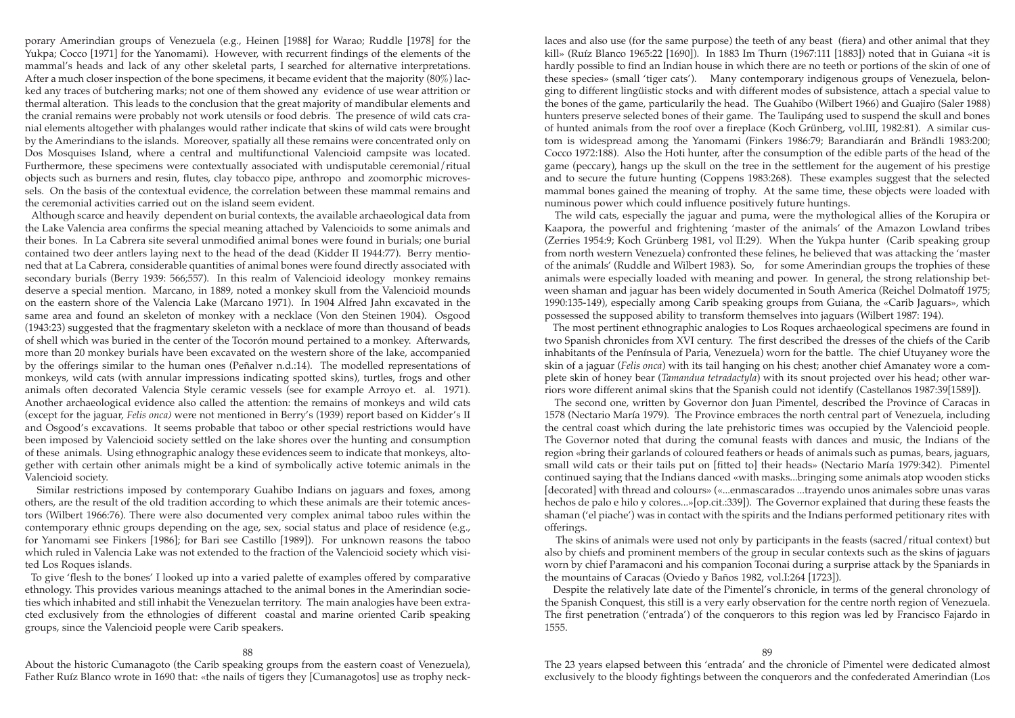laces and also use (for the same purpose) the teeth of any beast (fiera) and other animal that they kill» (Ruíz Blanco 1965:22 [1690]). In 1883 Im Thurn (1967:111 [1883]) noted that in Guiana «it is hardly possible to find an Indian house in which there are no teeth or portions of the skin of one of these species» (small 'tiger cats'). Many contemporary indigenous groups of Venezuela, belonging to different lingüistic stocks and with different modes of subsistence, attach a special value to the bones of the game, particularily the head. The Guahibo (Wilbert 1966) and Guajiro (Saler 1988) hunters preserve selected bones of their game. The Taulipáng used to suspend the skull and bones of hunted animals from the roof over a fireplace (Koch Grünberg, vol.III, 1982:81). A similar custom is widespread among the Yanomami (Finkers 1986:79; Barandiarán and Brändli 1983:200; Cocco 1972:188). Also the Hoti hunter, after the consumption of the edible parts of the head of the game (peccary), hangs up the skull on the tree in the settlement for the augement of his prestige and to secure the future hunting (Coppens 1983:268). These examples suggest that the selected mammal bones gained the meaning of trophy. At the same time, these objects were loaded with numinous power which could influence positively future huntings.

The wild cats, especially the jaguar and puma, were the mythological allies of the Korupira or Kaapora, the powerful and frightening 'master of the animals' of the Amazon Lowland tribes (Zerries 1954:9; Koch Grünberg 1981, vol II:29). When the Yukpa hunter (Carib speaking group from north western Venezuela) confronted these felines, he believed that was attacking the 'master of the animals' (Ruddle and Wilbert 1983). So, for some Amerindian groups the trophies of these animals were especially loaded with meaning and power. In general, the strong relationship between shaman and jaguar has been widely documented in South America (Reichel Dolmatoff 1975; 1990:135-149), especially among Carib speaking groups from Guiana, the «Carib Jaguars», which possessed the supposed ability to transform themselves into jaguars (Wilbert 1987: 194).

The most pertinent ethnographic analogies to Los Roques archaeological specimens are found in two Spanish chronicles from XVI century. The first described the dresses of the chiefs of the Carib inhabitants of the Península of Paria, Venezuela) worn for the battle. The chief Utuyaney wore the skin of a jaguar (*Felis onca*) with its tail hanging on his chest; another chief Amanatey wore a complete skin of honey bear (*Tamandua tetradactyla*) with its snout projected over his head; other warriors wore different animal skins that the Spanish could not identify (Castellanos 1987:39[1589]).

The second one, written by Governor don Juan Pimentel, described the Province of Caracas in 1578 (Nectario María 1979). The Province embraces the north central part of Venezuela, including the central coast which during the late prehistoric times was occupied by the Valencioid people. The Governor noted that during the comunal feasts with dances and music, the Indians of the region «bring their garlands of coloured feathers or heads of animals such as pumas, bears, jaguars, small wild cats or their tails put on [fitted to] their heads» (Nectario María 1979:342). Pimentel continued saying that the Indians danced «with masks...bringing some animals atop wooden sticks [decorated] with thread and colours» («...enmascarados ...trayendo unos animales sobre unas varas hechos de palo e hilo y colores...»[op.cit.:339]). The Governor explained that during these feasts the shaman ('el piache') was in contact with the spirits and the Indians performed petitionary rites with offerings.

The skins of animals were used not only by participants in the feasts (sacred/ritual context) but also by chiefs and prominent members of the group in secular contexts such as the skins of jaguars worn by chief Paramaconi and his companion Toconai during a surprise attack by the Spaniards in the mountains of Caracas (Oviedo y Baños 1982, vol.I:264 [1723]).

Despite the relatively late date of the Pimentel's chronicle, in terms of the general chronology of the Spanish Conquest, this still is a very early observation for the centre north region of Venezuela. The first penetration ('entrada') of the conquerors to this region was led by Francisco Fajardo in 1555.

## 89

The 23 years elapsed between this 'entrada' and the chronicle of Pimentel were dedicated almost exclusively to the bloody fightings between the conquerors and the confederated Amerindian (Los

porary Amerindian groups of Venezuela (e.g., Heinen [1988] for Warao; Ruddle [1978] for the Yukpa; Cocco [1971] for the Yanomami). However, with recurrent findings of the elements of the mammal's heads and lack of any other skeletal parts, I searched for alternative interpretations. After a much closer inspection of the bone specimens, it became evident that the majority (80%) lacked any traces of butchering marks; not one of them showed any evidence of use wear attrition or thermal alteration. This leads to the conclusion that the great majority of mandibular elements and the cranial remains were probably not work utensils or food debris. The presence of wild cats cranial elements altogether with phalanges would rather indicate that skins of wild cats were brought by the Amerindians to the islands. Moreover, spatially all these remains were concentrated only on Dos Mosquises Island, where a central and multifunctional Valencioid campsite was located. Furthermore, these specimens were contextually associated with undisputable ceremonial/ritual objects such as burners and resin, flutes, clay tobacco pipe, anthropo and zoomorphic microvessels. On the basis of the contextual evidence, the correlation between these mammal remains and the ceremonial activities carried out on the island seem evident.

Although scarce and heavily dependent on burial contexts, the available archaeological data from the Lake Valencia area confirms the special meaning attached by Valencioids to some animals and their bones. In La Cabrera site several unmodified animal bones were found in burials; one burial contained two deer antlers laying next to the head of the dead (Kidder II 1944:77). Berry mentioned that at La Cabrera, considerable quantities of animal bones were found directly associated with secondary burials (Berry 1939: 566;557). In this realm of Valencioid ideology monkey remains deserve a special mention. Marcano, in 1889, noted a monkey skull from the Valencioid mounds on the eastern shore of the Valencia Lake (Marcano 1971). In 1904 Alfred Jahn excavated in the same area and found an skeleton of monkey with a necklace (Von den Steinen 1904). Osgood (1943:23) suggested that the fragmentary skeleton with a necklace of more than thousand of beads of shell which was buried in the center of the Tocorón mound pertained to a monkey. Afterwards, more than 20 monkey burials have been excavated on the western shore of the lake, accompanied by the offerings similar to the human ones (Peñalver n.d.:14). The modelled representations of monkeys, wild cats (with annular impressions indicating spotted skins), turtles, frogs and other animals often decorated Valencia Style ceramic vessels (see for example Arroyo et. al. 1971). Another archaeological evidence also called the attention: the remains of monkeys and wild cats (except for the jaguar, *Felis onca)* were not mentioned in Berry's (1939) report based on Kidder's II and Osgood's excavations. It seems probable that taboo or other special restrictions would have been imposed by Valencioid society settled on the lake shores over the hunting and consumption of these animals. Using ethnographic analogy these evidences seem to indicate that monkeys, altogether with certain other animals might be a kind of symbolically active totemic animals in the Valencioid society.

Similar restrictions imposed by contemporary Guahibo Indians on jaguars and foxes, among others, are the result of the old tradition according to which these animals are their totemic ancestors (Wilbert 1966:76). There were also documented very complex animal taboo rules within the contemporary ethnic groups depending on the age, sex, social status and place of residence (e.g., for Yanomami see Finkers [1986]; for Bari see Castillo [1989]). For unknown reasons the taboo which ruled in Valencia Lake was not extended to the fraction of the Valencioid society which visited Los Roques islands.

To give 'flesh to the bones' I looked up into a varied palette of examples offered by comparative ethnology. This provides various meanings attached to the animal bones in the Amerindian societies which inhabited and still inhabit the Venezuelan territory. The main analogies have been extracted exclusively from the ethnologies of different coastal and marine oriented Carib speaking groups, since the Valencioid people were Carib speakers.

#### 88

About the historic Cumanagoto (the Carib speaking groups from the eastern coast of Venezuela), Father Ruíz Blanco wrote in 1690 that: «the nails of tigers they [Cumanagotos] use as trophy neck-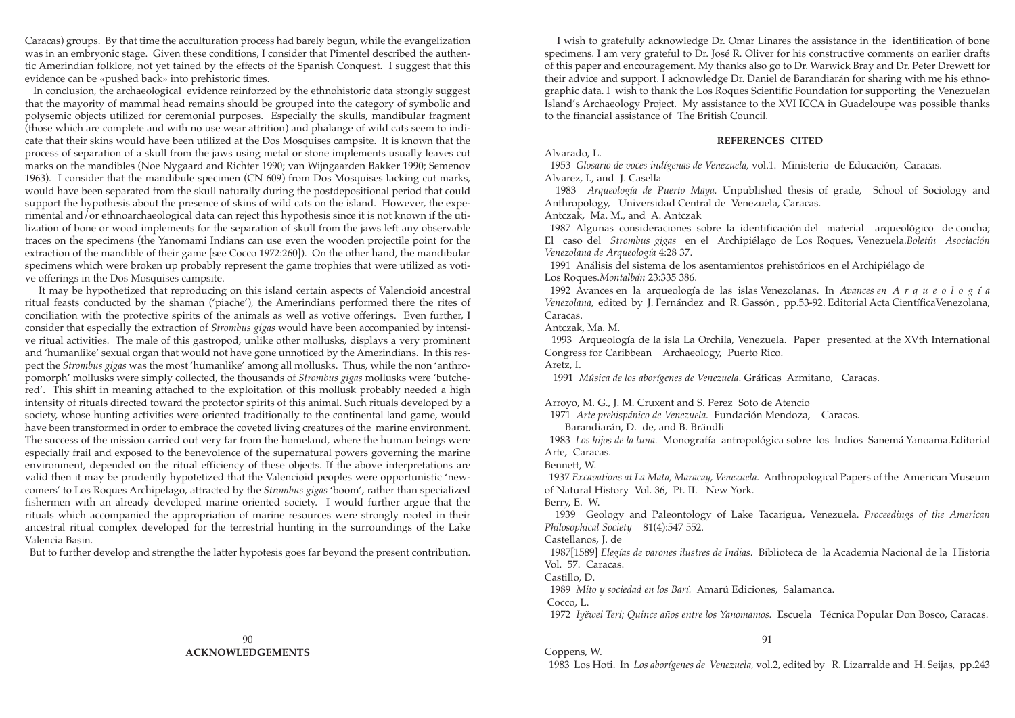I wish to gratefully acknowledge Dr. Omar Linares the assistance in the identification of bone specimens. I am very grateful to Dr. José R. Oliver for his constructive comments on earlier drafts of this paper and encouragement. My thanks also go to Dr. Warwick Bray and Dr. Peter Drewett for their advice and support. I acknowledge Dr. Daniel de Barandiarán for sharing with me his ethnographic data. I wish to thank the Los Roques Scientific Foundation for supporting the Venezuelan Island's Archaeology Project. My assistance to the XVI ICCA in Guadeloupe was possible thanks to the financial assistance of The British Council.

### **REFERENCES CITED**

Alvarado, L.

1953 *Glosario de voces indígenas de Venezuela,* vol.1. Ministerio de Educación, Caracas. Alvarez, I., and J. Casella

1983 *Arqueología de Puerto Maya.* Unpublished thesis of grade, School of Sociology and Anthropology, Universidad Central de Venezuela, Caracas. Antczak, Ma. M., and A. Antczak

1987 Algunas consideraciones sobre la identificación del material arqueológico de concha; El caso del *Strombus gigas* en el Archipiélago de Los Roques, Venezuela.*Boletín Asociación Venezolana de Arqueología* 4:28 37.

1991 Análisis del sistema de los asentamientos prehistóricos en el Archipiélago de Los Roques.*Montalbán* 23:335 386.

1992 Avances en la arqueología de las islas Venezolanas. In *Avances en A r q u e o l o g í a Venezolana,* edited by J. Fernández and R. Gassón , pp.53-92. Editorial Acta CientíficaVenezolana, Caracas.

Antczak, Ma. M.

1993 Arqueología de la isla La Orchila, Venezuela. Paper presented at the XVth International Congress for Caribbean Archaeology, Puerto Rico. Aretz, I.

1991 *Música de los aborígenes de Venezuela*. Gráficas Armitano, Caracas.

Arroyo, M. G., J. M. Cruxent and S. Perez Soto de Atencio 1971 *Arte prehispánico de Venezuela.* Fundación Mendoza, Caracas. Barandiarán, D. de, and B. Brändli

1983 *Los hijos de la luna.* Monografía antropológica sobre los Indios Sanemá Yanoama.Editorial Arte, Caracas.

Bennett, W.

1937 *Excavations at La Mata, Maracay, Venezuela.* Anthropological Papers of the American Museum of Natural History Vol. 36, Pt. II. New York. Berry, E. W.

1939 Geology and Paleontology of Lake Tacarigua, Venezuela. *Proceedings of the American Philosophical Society* 81(4):547 552.

Castellanos, J. de

1987[1589] *Elegías de varones ilustres de Indias.* Biblioteca de la Academia Nacional de la Historia Vol. 57. Caracas.

Castillo, D.

1989 *Mito y sociedad en los Barí.* Amarú Ediciones, Salamanca. Cocco, L.

1972 *Iyëwei Teri; Quince años entre los Yanomamos.* Escuela Técnica Popular Don Bosco, Caracas.

91

Coppens, W. 1983 Los Hoti. In *Los aborígenes de Venezuela,* vol.2, edited by R. Lizarralde and H. Seijas, pp.243

Caracas) groups. By that time the acculturation process had barely begun, while the evangelization was in an embryonic stage. Given these conditions, I consider that Pimentel described the authentic Amerindian folklore, not yet tained by the effects of the Spanish Conquest. I suggest that this evidence can be «pushed back» into prehistoric times.

In conclusion, the archaeological evidence reinforzed by the ethnohistoric data strongly suggest that the mayority of mammal head remains should be grouped into the category of symbolic and polysemic objects utilized for ceremonial purposes. Especially the skulls, mandibular fragment (those which are complete and with no use wear attrition) and phalange of wild cats seem to indicate that their skins would have been utilized at the Dos Mosquises campsite. It is known that the process of separation of a skull from the jaws using metal or stone implements usually leaves cut marks on the mandibles (Noe Nygaard and Richter 1990; van Wijngaarden Bakker 1990; Semenov 1963). I consider that the mandibule specimen (CN 609) from Dos Mosquises lacking cut marks, would have been separated from the skull naturally during the postdepositional period that could support the hypothesis about the presence of skins of wild cats on the island. However, the experimental and/or ethnoarchaeological data can reject this hypothesis since it is not known if the utilization of bone or wood implements for the separation of skull from the jaws left any observable traces on the specimens (the Yanomami Indians can use even the wooden projectile point for the extraction of the mandible of their game [see Cocco 1972:260]). On the other hand, the mandibular specimens which were broken up probably represent the game trophies that were utilized as votive offerings in the Dos Mosquises campsite.

It may be hypothetized that reproducing on this island certain aspects of Valencioid ancestral ritual feasts conducted by the shaman ('piache'), the Amerindians performed there the rites of conciliation with the protective spirits of the animals as well as votive offerings. Even further, I consider that especially the extraction of *Strombus gigas* would have been accompanied by intensive ritual activities. The male of this gastropod, unlike other mollusks, displays a very prominent and 'humanlike' sexual organ that would not have gone unnoticed by the Amerindians. In this respect the *Strombus gigas* was the most 'humanlike' among all mollusks. Thus, while the non 'anthropomorph' mollusks were simply collected, the thousands of *Strombus gigas* mollusks were 'butchered'. This shift in meaning attached to the exploitation of this mollusk probably needed a high intensity of rituals directed toward the protector spirits of this animal. Such rituals developed by a society, whose hunting activities were oriented traditionally to the continental land game, would have been transformed in order to embrace the coveted living creatures of the marine environment. The success of the mission carried out very far from the homeland, where the human beings were especially frail and exposed to the benevolence of the supernatural powers governing the marine environment, depended on the ritual efficiency of these objects. If the above interpretations are valid then it may be prudently hypotetized that the Valencioid peoples were opportunistic 'newcomers' to Los Roques Archipelago, attracted by the *Strombus gigas* 'boom', rather than specialized fishermen with an already developed marine oriented society. I would further argue that the rituals which accompanied the appropriation of marine resources were strongly rooted in their ancestral ritual complex developed for the terrestrial hunting in the surroundings of the Lake Valencia Basin.

But to further develop and strengthe the latter hypotesis goes far beyond the present contribution.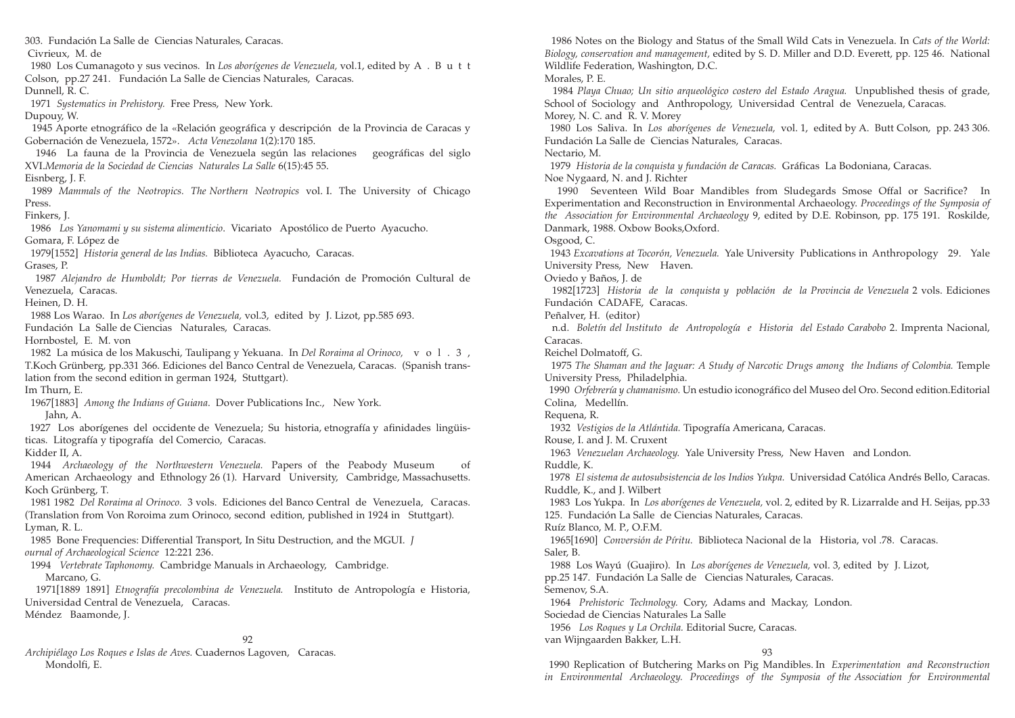1986 Notes on the Biology and Status of the Small Wild Cats in Venezuela. In *Cats of the World: Biology, conservation and management,* edited by S. D. Miller and D.D. Everett, pp. 125 46. National

1984 *Playa Chuao; Un sitio arqueológico costero del Estado Aragua.* Unpublished thesis of grade, School of Sociology and Anthropology, Universidad Central de Venezuela, Caracas.

1980 Los Saliva. In *Los aborígenes de Venezuela,* vol. 1, edited by A. Butt Colson, pp. 243 306.

1990 Seventeen Wild Boar Mandibles from Sludegards Smose Offal or Sacrifice? In Experimentation and Reconstruction in Environmental Archaeology. *Proceedings of the Symposia of the Association for Environmental Archaeology* 9, edited by D.E. Robinson, pp. 175 191. Roskilde,

1943 *Excavations at Tocorón, Venezuela.* Yale University Publications in Anthropology 29. Yale

1982[1723] *Historia de la conquista y población de la Provincia de Venezuela* 2 vols. Ediciones

n.d. *Boletín del Instituto de Antropología e Historia del Estado Carabobo* 2. Imprenta Nacional,

1975 The Shaman and the Jaguar: A Study of Narcotic Drugs among the Indians of Colombia. Temple

1990 *Orfebrería y chamanismo.* Un estudio iconográfico del Museo del Oro. Second edition.Editorial

1978 *El sistema de autosubsistencia de los Indios Yukpa.* Universidad Católica Andrés Bello, Caracas.

1983 Los Yukpa. In *Los aborígenes de Venezuela,* vol. 2, edited by R. Lizarralde and H. Seijas, pp.33

93

1990 Replication of Butchering Marks on Pig Mandibles. In *Experimentation and Reconstruction in Environmental Archaeology. Proceedings of the Symposia of the Association for Environmental*

Wildlife Federation, Washington, D.C. Morales, P. E. Morey, N. C. and R. V. Morey Fundación La Salle de Ciencias Naturales, Caracas. Nectario, M. 1979 *Historia de la conquista y fundación de Caracas.* Gráficas La Bodoniana, Caracas. Noe Nygaard, N. and J. Richter Danmark, 1988. Oxbow Books,Oxford. Osgood, C. University Press, New Haven. Oviedo y Baños, J. de Fundación CADAFE, Caracas. Peñalver, H. (editor) Caracas. Reichel Dolmatoff, G. University Press, Philadelphia. Colina, Medellín. Requena, R. 1932 *Vestigios de la Atlántida.* Tipografía Americana, Caracas. Rouse, I. and J. M. Cruxent 1963 *Venezuelan Archaeology.* Yale University Press, New Haven and London. Ruddle, K. Ruddle, K., and J. Wilbert 125. Fundación La Salle de Ciencias Naturales, Caracas. Ruíz Blanco, M. P., O.F.M. 1965[1690] *Conversión de Píritu.* Biblioteca Nacional de la Historia, vol .78. Caracas. Saler, B. 1988 Los Wayú (Guajiro). In *Los aborígenes de Venezuela,* vol. 3, edited by J. Lizot, pp.25 147. Fundación La Salle de Ciencias Naturales, Caracas. Semenov, S.A. 1964 *Prehistoric Technology.* Cory, Adams and Mackay, London. Sociedad de Ciencias Naturales La Salle 1956 *Los Roques y La Orchila.* Editorial Sucre, Caracas. van Wijngaarden Bakker, L.H. 303. Fundación La Salle de Ciencias Naturales, Caracas. Civrieux, M. de 1980 Los Cumanagoto y sus vecinos. In *Los aborígenes de Venezuela,* vol.1, edited by A . B u t t Colson, pp.27 241. Fundación La Salle de Ciencias Naturales, Caracas. Dunnell, R. C. 1971 *Systematics in Prehistory.* Free Press, New York. Dupouy, W. 1945 Aporte etnográfico de la «Relación geográfica y descripción de la Provincia de Caracas y Gobernación de Venezuela, 1572». *Acta Venezolana* 1(2):170 185. 1946 La fauna de la Provincia de Venezuela según las relaciones geográficas del siglo XVI.*Memoria de la Sociedad de Ciencias Naturales La Salle* 6(15):45 55. Eisnberg, J. F. 1989 *Mammals of the Neotropics. The Northern Neotropics* vol. I. The University of Chicago Press. Finkers, J. 1986 *Los Yanomami y su sistema alimenticio*. Vicariato Apostólico de Puerto Ayacucho. Gomara, F. López de 1979[1552] *Historia general de las Indias.* Biblioteca Ayacucho, Caracas. Grases, P. 1987 *Alejandro de Humboldt; Por tierras de Venezuela.* Fundación de Promoción Cultural de Venezuela, Caracas. Heinen, D. H. 1988 Los Warao. In *Los aborígenes de Venezuela,* vol.3, edited by J. Lizot, pp.585 693. Fundación La Salle de Ciencias Naturales, Caracas. Hornbostel, E. M. von 1982 La música de los Makuschi, Taulipang y Yekuana. In *Del Roraima al Orinoco*, vol. 3, T.Koch Grünberg, pp.331 366. Ediciones del Banco Central de Venezuela, Caracas. (Spanish translation from the second edition in german 1924, Stuttgart). Im Thurn, E. 1967[1883] *Among the Indians of Guiana*. Dover Publications Inc., New York. Jahn, A. 1927 Los aborígenes del occidente de Venezuela; Su historia, etnografía y afinidades lingüisticas. Litografía y tipografía del Comercio, Caracas. Kidder II, A. 1944 *Archaeology of the Northwestern Venezuela.* Papers of the Peabody Museum of American Archaeology and Ethnology 26 (1). Harvard University, Cambridge, Massachusetts. Koch Grünberg, T. 1981 1982 *Del Roraima al Orinoco.* 3 vols. Ediciones del Banco Central de Venezuela, Caracas. (Translation from Von Roroima zum Orinoco, second edition, published in 1924 in Stuttgart). Lyman, R. L. 1985 Bone Frequencies: Differential Transport, In Situ Destruction, and the MGUI. *J ournal of Archaeological Science* 12:221 236. 1994 *Vertebrate Taphonomy.* Cambridge Manuals in Archaeology, Cambridge. Marcano, G. 1971[1889 1891] *Etnografía precolombina de Venezuela.* Instituto de Antropología e Historia, Universidad Central de Venezuela, Caracas. Méndez Baamonde, J. 92

*Archipiélago Los Roques e Islas de Aves.* Cuadernos Lagoven, Caracas. Mondolfi, E.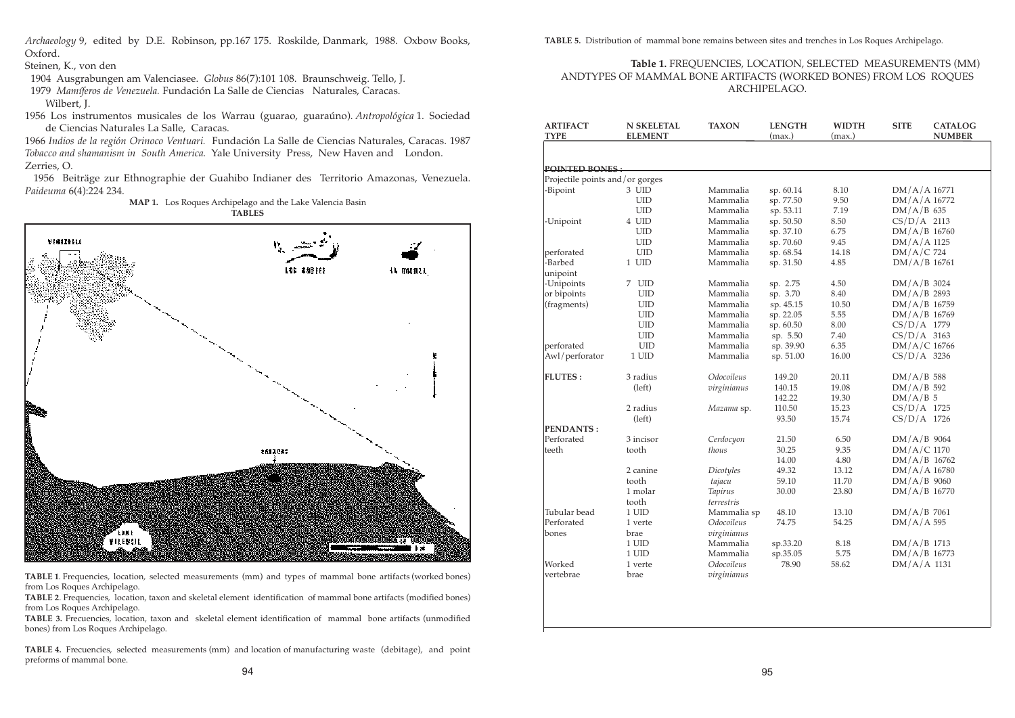*Archaeology* 9, edited by D.E. Robinson, pp.167 175. Roskilde, Danmark, 1988. Oxbow Books, Oxford.

Steinen, K., von den

1904 Ausgrabungen am Valenciasee. *Globus* 86(7):101 108. Braunschweig. Tello, J.

1979 *Mamíferos de Venezuela.* Fundación La Salle de Ciencias Naturales, Caracas. Wilbert, J.

1956 Los instrumentos musicales de los Warrau (guarao, guaraúno). *Antropológica* 1. Sociedad de Ciencias Naturales La Salle, Caracas.

1966 *Indios de la región Orinoco Ventuari.* Fundación La Salle de Ciencias Naturales, Caracas. 1987 *Tobacco and shamanism in South America.* Yale University Press, New Haven and London. Zerries, O.

1956 Beiträge zur Ethnographie der Guahibo Indianer des Territorio Amazonas, Venezuela. *Paideuma* 6(4):224 234.

> **MAP 1.** Los Roques Archipelago and the Lake Valencia Basin **TABLES**

VINITYLA **LOS #88 FES** 14 000013 1613087 **ETRE FILEROIL** h st

**TABLE 1**. Frequencies, location, selected measurements (mm) and types of mammal bone artifacts (worked bones) from Los Roques Archipelago.

**TABLE 2**. Frequencies, location, taxon and skeletal element identification of mammal bone artifacts (modified bones) from Los Roques Archipelago.

**TABLE 3.** Frecuencies, location, taxon and skeletal element identification of mammal bone artifacts (unmodified bones) from Los Roques Archipelago.

**TABLE 4.** Frecuencies, selected measurements (mm) and location of manufacturing waste (debitage), and point preforms of mammal bone.

**TABLE 5.** Distribution of mammal bone remains between sites and trenches in Los Roques Archipelago.

## **Table 1.** FREQUENCIES, LOCATION, SELECTED MEASUREMENTS (MM) ANDTYPES OF MAMMAL BONE ARTIFACTS (WORKED BONES) FROM LOS ROQUES ARCHIPELAGO.

| <b>ARTIFACT</b><br><b>TYPE</b>  | <b>N SKELETAL</b><br><b>ELEMENT</b> | <b>TAXON</b>   | <b>LENGTH</b><br>(max.) | <b>WIDTH</b><br>(max.) | <b>SITE</b>    | <b>CATALOG</b><br><b>NUMBER</b> |
|---------------------------------|-------------------------------------|----------------|-------------------------|------------------------|----------------|---------------------------------|
|                                 |                                     |                |                         |                        |                |                                 |
| <b>POINTED BONES:</b>           |                                     |                |                         |                        |                |                                 |
| Projectile points and/or gorges |                                     |                |                         |                        |                |                                 |
| -Bipoint                        | 3 UID                               | Mammalia       | sp. 60.14               | 8.10                   | $DM/A/A$ 16771 |                                 |
|                                 | <b>UID</b>                          | Mammalia       | sp. 77.50               | 9.50                   | $DM/A/A$ 16772 |                                 |
|                                 | <b>UID</b>                          | Mammalia       | sp. 53.11               | 7.19                   | $DM/A/B$ 635   |                                 |
| -Unipoint                       | 4 UID                               | Mammalia       | sp. 50.50               | 8.50                   | $CS/D/A$ 2113  |                                 |
|                                 | <b>UID</b>                          | Mammalia       | sp. 37.10               | 6.75                   | $DM/A/B$ 16760 |                                 |
|                                 | <b>UID</b>                          | Mammalia       | sp. 70.60               | 9.45                   | $DM/A/A$ 1125  |                                 |
| perforated                      | <b>UID</b>                          | Mammalia       | sp. 68.54               | 14.18                  | $DM/A/C$ 724   |                                 |
| -Barbed<br>unipoint             | 1 UID                               | Mammalia       | sp. 31.50               | 4.85                   | $DM/A/B$ 16761 |                                 |
| -Unipoints                      | 7 UID                               | Mammalia       | sp. 2.75                | 4.50                   | $DM/A/B$ 3024  |                                 |
| or bipoints                     | <b>UID</b>                          | Mammalia       | sp. 3.70                | 8.40                   | $DM/A/B$ 2893  |                                 |
| (fragments)                     | <b>UID</b>                          | Mammalia       | sp. 45.15               | 10.50                  | $DM/A/B$ 16759 |                                 |
|                                 | <b>UID</b>                          | Mammalia       | sp. 22.05               | 5.55                   | $DM/A/B$ 16769 |                                 |
|                                 | <b>UID</b>                          | Mammalia       | sp. 60.50               | 8.00                   | $CS/D/A$ 1779  |                                 |
|                                 | <b>UID</b>                          | Mammalia       | sp. 5.50                | 7.40                   | $CS/D/A$ 3163  |                                 |
| perforated                      | <b>UID</b>                          | Mammalia       | sp. 39.90               | 6.35                   | $DM/A/C$ 16766 |                                 |
| Awl/perforator                  | 1 UID                               | Mammalia       | sp. 51.00               | 16.00                  | $CS/D/A$ 3236  |                                 |
| <b>FLUTES:</b>                  | 3 radius                            | Odocoileus     | 149.20                  | 20.11                  | $DM/A/B$ 588   |                                 |
|                                 | (left)                              | virginianus    | 140.15                  | 19.08                  | $DM/A/B$ 592   |                                 |
|                                 |                                     |                | 142.22                  | 19.30                  | $DM/A/B$ 5     |                                 |
|                                 | 2 radius                            | Mazama sp.     | 110.50                  | 15.23                  | $CS/D/A$ 1725  |                                 |
|                                 | (left)                              |                | 93.50                   | 15.74                  | $CS/D/A$ 1726  |                                 |
| PENDANTS:                       |                                     |                |                         |                        |                |                                 |
| Perforated                      | 3 incisor                           | Cerdocyon      | 21.50                   | 6.50                   | $DM/A/B$ 9064  |                                 |
| teeth                           | tooth                               | thous          | 30.25                   | 9.35                   | $DM/A/C$ 1170  |                                 |
|                                 |                                     |                | 14.00                   | 4.80                   | $DM/A/B$ 16762 |                                 |
|                                 | 2 canine                            | Dicotyles      | 49.32                   | 13.12                  | $DM/A/A$ 16780 |                                 |
|                                 | tooth                               | tajacu         | 59.10                   | 11.70                  | $DM/A/B$ 9060  |                                 |
|                                 | 1 molar                             | <b>Tapirus</b> | 30.00                   | 23.80                  | $DM/A/B$ 16770 |                                 |
|                                 | tooth                               | terrestris     |                         |                        |                |                                 |
| Tubular bead                    | 1 UID                               | Mammalia sp    | 48.10                   | 13.10                  | $DM/A/B$ 7061  |                                 |
| Perforated                      | 1 verte                             | Odocoileus     | 74.75                   | 54.25                  | $DM/A/A$ 595   |                                 |
| bones                           | brae                                | virginianus    |                         |                        |                |                                 |
|                                 | $1$ UID $\,$                        | Mammalia       | sp.33.20                | 8.18                   | $DM/A/B$ 1713  |                                 |
|                                 | 1 UID                               | Mammalia       | sp.35.05                | 5.75                   | $DM/A/B$ 16773 |                                 |
| Worked                          | 1 verte                             | Odocoileus     | 78.90                   | 58.62                  | $DM/A/A$ 1131  |                                 |
| vertebrae                       | brae                                | virginianus    |                         |                        |                |                                 |
|                                 |                                     |                |                         |                        |                |                                 |
|                                 |                                     |                |                         |                        |                |                                 |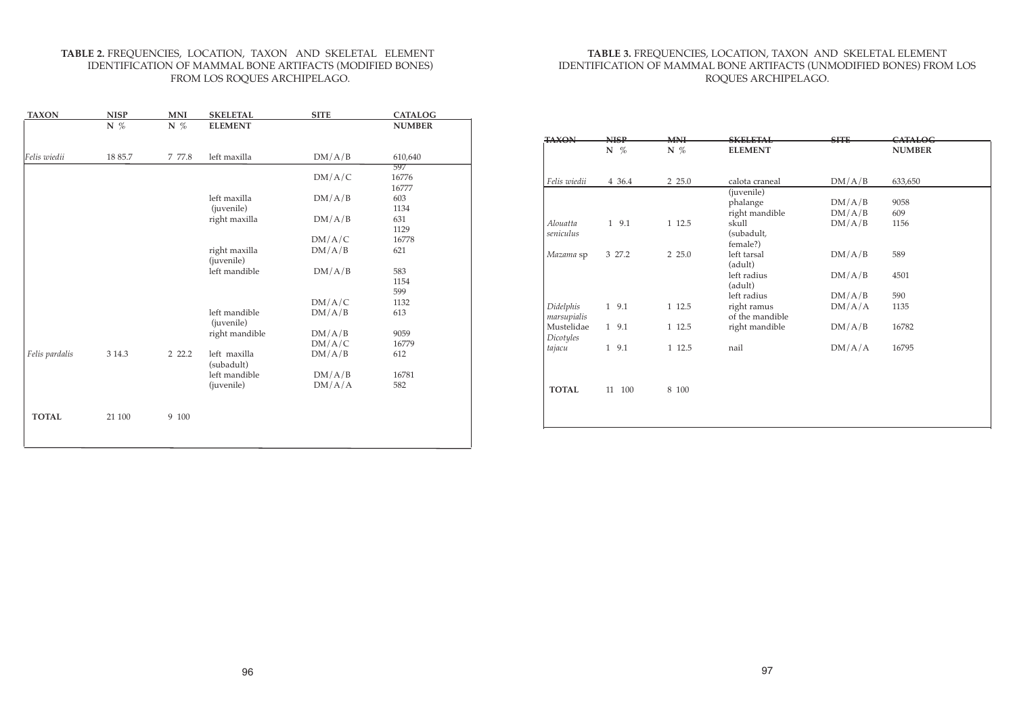## **TABLE 3.** FREQUENCIES, LOCATION, TAXON AND SKELETAL ELEMENT IDENTIFICATION OF MAMMAL BONE ARTIFACTS (UNMODIFIED BONES) FROM LOS ROQUES ARCHIPELAGO.

| <b>NISP</b> | <b>MNH</b> | <b>SKELFTAL</b> | <b>SHTE</b>                                                   | CATALOG       |
|-------------|------------|-----------------|---------------------------------------------------------------|---------------|
|             |            |                 |                                                               | <b>NUMBER</b> |
| 4 36.4      | 2 2 5.0    | calota craneal  | DM/A/B                                                        | 633,650       |
|             |            |                 |                                                               |               |
|             |            | phalange        | DM/A/B                                                        | 9058          |
|             |            | right mandible  | DM/A/B                                                        | 609           |
| 1 9.1       | 1 12.5     | skull           | DM/A/B                                                        | 1156          |
|             |            | (subadult,      |                                                               |               |
|             |            | female?)        |                                                               |               |
| 3 27.2      | 2 2 5.0    | left tarsal     | DM/A/B                                                        | 589           |
|             |            | (adult)         |                                                               |               |
|             |            | left radius     | DM/A/B                                                        | 4501          |
|             |            | (adult)         |                                                               |               |
|             |            | left radius     | DM/A/B                                                        | 590           |
| 1 9.1       | 1 12.5     |                 | DM/A/A                                                        | 1135          |
|             |            | of the mandible |                                                               |               |
| 1 9.1       | 1 12.5     |                 | DM/A/B                                                        | 16782         |
|             |            |                 |                                                               |               |
| 1 9.1       | 1 12.5     | nail            | DM/A/A                                                        | 16795         |
|             |            |                 |                                                               |               |
| 100<br>11   | 8 100      |                 |                                                               |               |
|             |            |                 |                                                               |               |
|             | $N \n%$    | N $%$           | <b>ELEMENT</b><br>(juvenile)<br>right ramus<br>right mandible |               |

## **TABLE 2.** FREQUENCIES, LOCATION, TAXON AND SKELETAL ELEMENT IDENTIFICATION OF MAMMAL BONE ARTIFACTS (MODIFIED BONES) FROM LOS ROQUES ARCHIPELAGO.

| <u>TAXON</u>   | <u>NISP</u> | <u>MNI</u> | <b>SKELETAL</b>             | <b>SITE</b> | <u>CATALOG</u> |
|----------------|-------------|------------|-----------------------------|-------------|----------------|
|                | N $%$       | N %        | <b>ELEMENT</b>              |             | <b>NUMBER</b>  |
|                |             |            |                             |             |                |
| Felis wiedii   | 18 85.7     | 7 77.8     | left maxilla                | DM/A/B      | 610,640        |
|                |             |            |                             |             | 597            |
|                |             |            |                             | DM/A/C      | 16776          |
|                |             |            |                             |             | 16777          |
|                |             |            | left maxilla                | DM/A/B      | 603            |
|                |             |            | (juvenile)                  |             | 1134           |
|                |             |            | right maxilla               | DM/A/B      | 631            |
|                |             |            |                             |             | 1129           |
|                |             |            |                             | DM/A/C      | 16778          |
|                |             |            | right maxilla<br>(juvenile) | DM/A/B      | 621            |
|                |             |            | left mandible               | DM/A/B      | 583            |
|                |             |            |                             |             | 1154           |
|                |             |            |                             |             | 599            |
|                |             |            |                             | DM/A/C      | 1132           |
|                |             |            | left mandible               | DM/A/B      | 613            |
|                |             |            | (juvenile)                  |             |                |
|                |             |            | right mandible              | DM/A/B      | 9059           |
|                |             |            |                             | DM/A/C      | 16779          |
| Felis pardalis | 3 14.3      | 2 2 2.2    | left maxilla                | DM/A/B      | 612            |
|                |             |            | (subadult)                  |             |                |
|                |             |            | left mandible               | DM/A/B      | 16781          |
|                |             |            | (juvenile)                  | DM/A/A      | 582            |
|                |             |            |                             |             |                |
|                |             |            |                             |             |                |
| <b>TOTAL</b>   | 21 100      | 9 100      |                             |             |                |
|                |             |            |                             |             |                |
|                |             |            |                             |             |                |